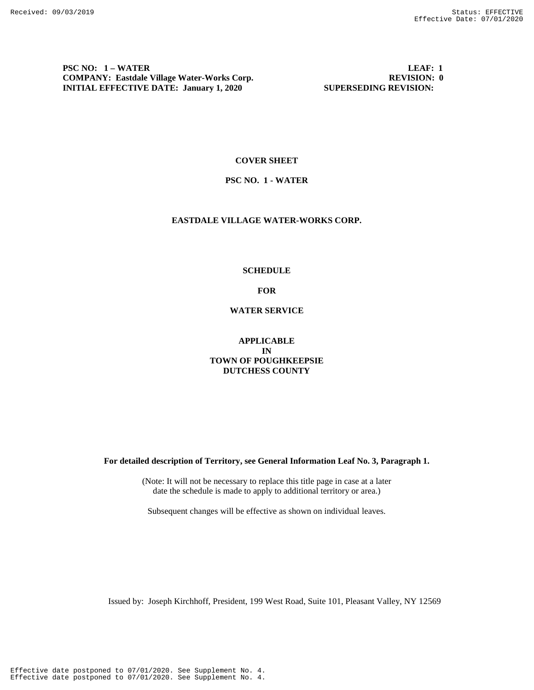**PSC NO: 1 – WATER LEAF: 1 COMPANY: Eastdale Village Water-Works Corp. REVISION: 0 REVISION: 0 INITIAL EFFECTIVE DATE: January 1, 2020** SUPERSEDING REVISION:

#### **COVER SHEET**

### **PSC NO. 1 - WATER**

# **EASTDALE VILLAGE WATER-WORKS CORP.**

#### **SCHEDULE**

**FOR**

**WATER SERVICE**

**APPLICABLE IN TOWN OF POUGHKEEPSIE DUTCHESS COUNTY**

**For detailed description of Territory, see General Information Leaf No. 3, Paragraph 1.**

(Note: It will not be necessary to replace this title page in case at a later date the schedule is made to apply to additional territory or area.)

Subsequent changes will be effective as shown on individual leaves.

Issued by: Joseph Kirchhoff, President, 199 West Road, Suite 101, Pleasant Valley, NY 12569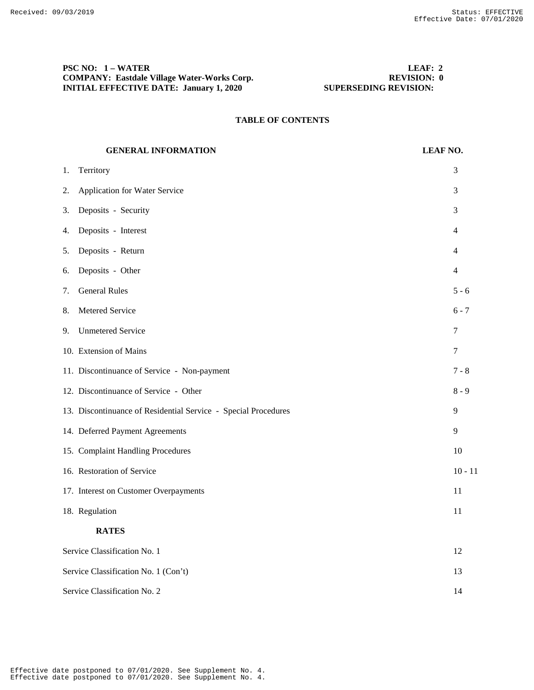# **PSC NO: 1 – WATER LEAF: 2 COMPANY: Eastdale Village Water-Works Corp. REVISION: 0 REVISION: 0 INITIAL EFFECTIVE DATE: January 1, 2020 SUPERSEDING REVISION:**

# **TABLE OF CONTENTS**

# **GENERAL INFORMATION LEAF NO.** 1. Territory 3 2. Application for Water Service 3 3. Deposits - Security 3 4. Deposits - Interest 4 5. Deposits - Return 4 6. Deposits - Other 4 7. General Rules 5 - 6 8. Metered Service 6 - 7 9. Unmetered Service 7 10. Extension of Mains 7 11. Discontinuance of Service - Non-payment 7 - 8 12. Discontinuance of Service - Other 8 - 9 13. Discontinuance of Residential Service - Special Procedures 9 14. Deferred Payment Agreements 9 15. Complaint Handling Procedures 10 16. Restoration of Service 10 - 11 17. Interest on Customer Overpayments 11 18. Regulation 11 **RATES** Service Classification No. 1 12 Service Classification No. 1 (Con't) 13 Service Classification No. 2 14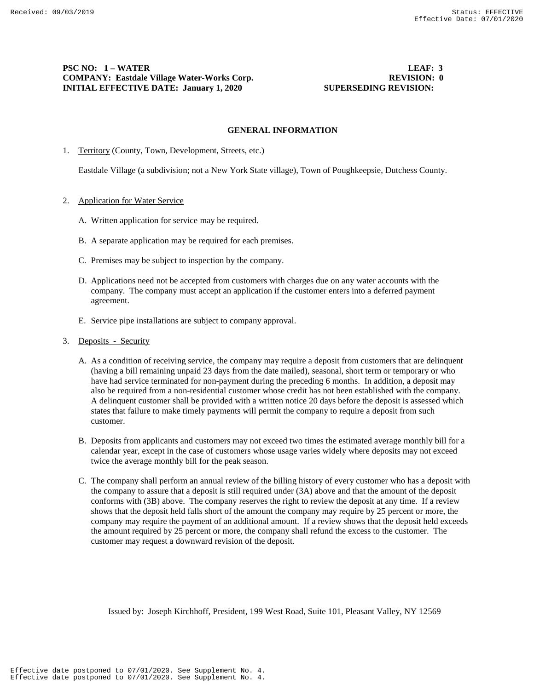# **PSC NO: 1 – WATER LEAF: 3 COMPANY: Eastdale Village Water-Works Corp. REVISION: 0 REVISION: 0 INITIAL EFFECTIVE DATE: January 1, 2020** SUPERSEDING REVISION:

#### **GENERAL INFORMATION**

1. Territory (County, Town, Development, Streets, etc.)

Eastdale Village (a subdivision; not a New York State village), Town of Poughkeepsie, Dutchess County.

### 2. Application for Water Service

- A. Written application for service may be required.
- B. A separate application may be required for each premises.
- C. Premises may be subject to inspection by the company.
- D. Applications need not be accepted from customers with charges due on any water accounts with the company. The company must accept an application if the customer enters into a deferred payment agreement.
- E. Service pipe installations are subject to company approval.
- 3. Deposits Security
	- A. As a condition of receiving service, the company may require a deposit from customers that are delinquent (having a bill remaining unpaid 23 days from the date mailed), seasonal, short term or temporary or who have had service terminated for non-payment during the preceding 6 months. In addition, a deposit may also be required from a non-residential customer whose credit has not been established with the company. A delinquent customer shall be provided with a written notice 20 days before the deposit is assessed which states that failure to make timely payments will permit the company to require a deposit from such customer.
	- B. Deposits from applicants and customers may not exceed two times the estimated average monthly bill for a calendar year, except in the case of customers whose usage varies widely where deposits may not exceed twice the average monthly bill for the peak season.
	- C. The company shall perform an annual review of the billing history of every customer who has a deposit with the company to assure that a deposit is still required under (3A) above and that the amount of the deposit conforms with (3B) above. The company reserves the right to review the deposit at any time. If a review shows that the deposit held falls short of the amount the company may require by 25 percent or more, the company may require the payment of an additional amount. If a review shows that the deposit held exceeds the amount required by 25 percent or more, the company shall refund the excess to the customer. The customer may request a downward revision of the deposit.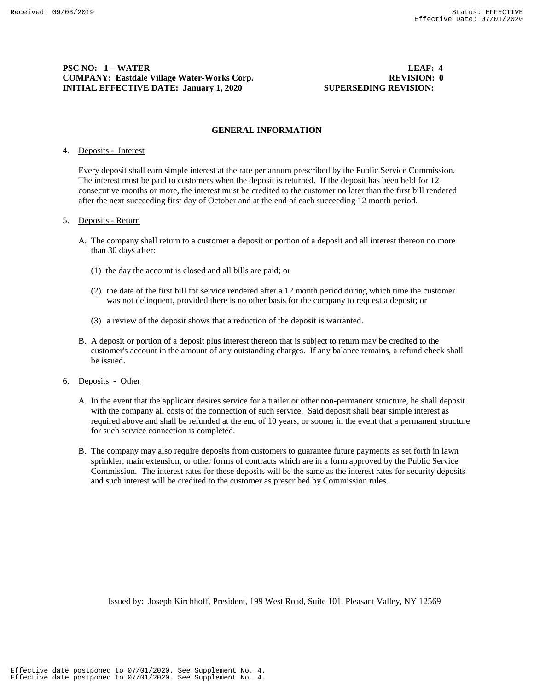# **PSC NO: 1 – WATER LEAF: 4 COMPANY: Eastdale Village Water-Works Corp. REVISION: 0 REVISION: 0 INITIAL EFFECTIVE DATE: January 1, 2020** SUPERSEDING REVISION:

#### **GENERAL INFORMATION**

#### 4. Deposits - Interest

Every deposit shall earn simple interest at the rate per annum prescribed by the Public Service Commission. The interest must be paid to customers when the deposit is returned. If the deposit has been held for 12 consecutive months or more, the interest must be credited to the customer no later than the first bill rendered after the next succeeding first day of October and at the end of each succeeding 12 month period.

#### 5. Deposits - Return

- A. The company shall return to a customer a deposit or portion of a deposit and all interest thereon no more than 30 days after:
	- (1) the day the account is closed and all bills are paid; or
	- (2) the date of the first bill for service rendered after a 12 month period during which time the customer was not delinquent, provided there is no other basis for the company to request a deposit; or
	- (3) a review of the deposit shows that a reduction of the deposit is warranted.
- B. A deposit or portion of a deposit plus interest thereon that is subject to return may be credited to the customer's account in the amount of any outstanding charges. If any balance remains, a refund check shall be issued.
- 6. Deposits Other
	- A. In the event that the applicant desires service for a trailer or other non-permanent structure, he shall deposit with the company all costs of the connection of such service. Said deposit shall bear simple interest as required above and shall be refunded at the end of 10 years, or sooner in the event that a permanent structure for such service connection is completed.
	- B. The company may also require deposits from customers to guarantee future payments as set forth in lawn sprinkler, main extension, or other forms of contracts which are in a form approved by the Public Service Commission. The interest rates for these deposits will be the same as the interest rates for security deposits and such interest will be credited to the customer as prescribed by Commission rules.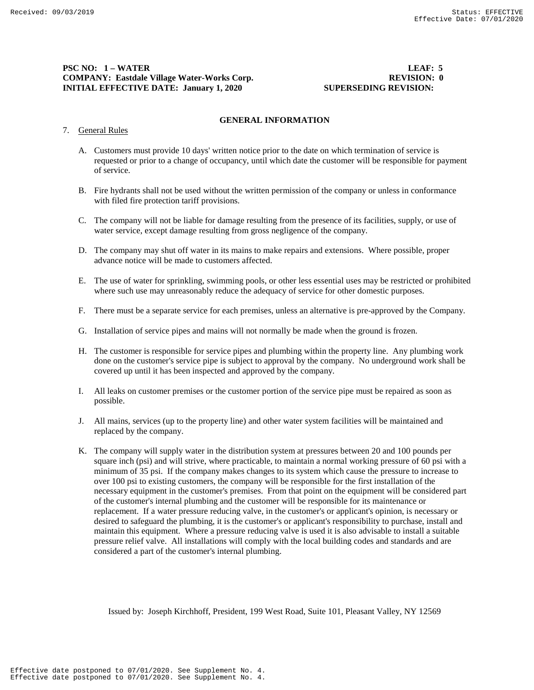# **PSC NO: 1 – WATER LEAF: 5 COMPANY: Eastdale Village Water-Works Corp. REVISION: 0 REVISION: 0 INITIAL EFFECTIVE DATE: January 1, 2020** SUPERSEDING REVISION:

### **GENERAL INFORMATION**

### 7. General Rules

- A. Customers must provide 10 days' written notice prior to the date on which termination of service is requested or prior to a change of occupancy, until which date the customer will be responsible for payment of service.
- B. Fire hydrants shall not be used without the written permission of the company or unless in conformance with filed fire protection tariff provisions.
- C. The company will not be liable for damage resulting from the presence of its facilities, supply, or use of water service, except damage resulting from gross negligence of the company.
- D. The company may shut off water in its mains to make repairs and extensions. Where possible, proper advance notice will be made to customers affected.
- E. The use of water for sprinkling, swimming pools, or other less essential uses may be restricted or prohibited where such use may unreasonably reduce the adequacy of service for other domestic purposes.
- F. There must be a separate service for each premises, unless an alternative is pre-approved by the Company.
- G. Installation of service pipes and mains will not normally be made when the ground is frozen.
- H. The customer is responsible for service pipes and plumbing within the property line. Any plumbing work done on the customer's service pipe is subject to approval by the company. No underground work shall be covered up until it has been inspected and approved by the company.
- I. All leaks on customer premises or the customer portion of the service pipe must be repaired as soon as possible.
- J. All mains, services (up to the property line) and other water system facilities will be maintained and replaced by the company.
- K. The company will supply water in the distribution system at pressures between 20 and 100 pounds per square inch (psi) and will strive, where practicable, to maintain a normal working pressure of 60 psi with a minimum of 35 psi. If the company makes changes to its system which cause the pressure to increase to over 100 psi to existing customers, the company will be responsible for the first installation of the necessary equipment in the customer's premises. From that point on the equipment will be considered part of the customer's internal plumbing and the customer will be responsible for its maintenance or replacement. If a water pressure reducing valve, in the customer's or applicant's opinion, is necessary or desired to safeguard the plumbing, it is the customer's or applicant's responsibility to purchase, install and maintain this equipment. Where a pressure reducing valve is used it is also advisable to install a suitable pressure relief valve. All installations will comply with the local building codes and standards and are considered a part of the customer's internal plumbing.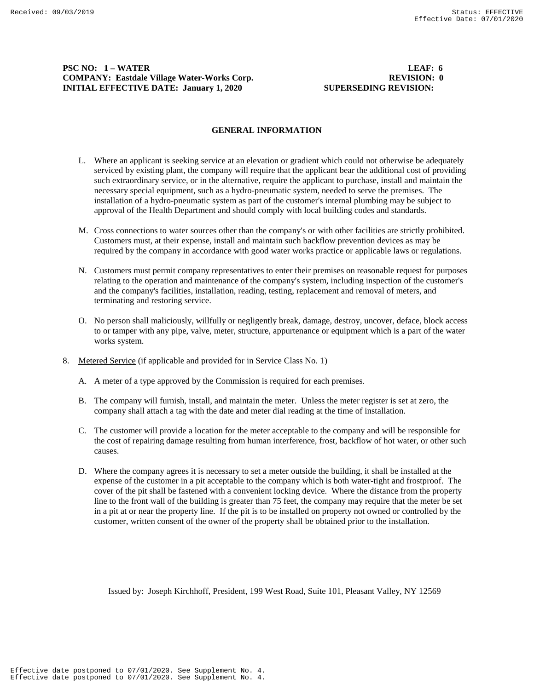# **PSC NO: 1 – WATER LEAF: 6 COMPANY: Eastdale Village Water-Works Corp. REVISION: 0 REVISION: 0 INITIAL EFFECTIVE DATE: January 1, 2020** SUPERSEDING REVISION:

#### **GENERAL INFORMATION**

- L. Where an applicant is seeking service at an elevation or gradient which could not otherwise be adequately serviced by existing plant, the company will require that the applicant bear the additional cost of providing such extraordinary service, or in the alternative, require the applicant to purchase, install and maintain the necessary special equipment, such as a hydro-pneumatic system, needed to serve the premises. The installation of a hydro-pneumatic system as part of the customer's internal plumbing may be subject to approval of the Health Department and should comply with local building codes and standards.
- M. Cross connections to water sources other than the company's or with other facilities are strictly prohibited. Customers must, at their expense, install and maintain such backflow prevention devices as may be required by the company in accordance with good water works practice or applicable laws or regulations.
- N. Customers must permit company representatives to enter their premises on reasonable request for purposes relating to the operation and maintenance of the company's system, including inspection of the customer's and the company's facilities, installation, reading, testing, replacement and removal of meters, and terminating and restoring service.
- O. No person shall maliciously, willfully or negligently break, damage, destroy, uncover, deface, block access to or tamper with any pipe, valve, meter, structure, appurtenance or equipment which is a part of the water works system.
- 8. Metered Service (if applicable and provided for in Service Class No. 1)
	- A. A meter of a type approved by the Commission is required for each premises.
	- B. The company will furnish, install, and maintain the meter. Unless the meter register is set at zero, the company shall attach a tag with the date and meter dial reading at the time of installation.
	- C. The customer will provide a location for the meter acceptable to the company and will be responsible for the cost of repairing damage resulting from human interference, frost, backflow of hot water, or other such causes.
	- D. Where the company agrees it is necessary to set a meter outside the building, it shall be installed at the expense of the customer in a pit acceptable to the company which is both water-tight and frostproof. The cover of the pit shall be fastened with a convenient locking device. Where the distance from the property line to the front wall of the building is greater than 75 feet, the company may require that the meter be set in a pit at or near the property line. If the pit is to be installed on property not owned or controlled by the customer, written consent of the owner of the property shall be obtained prior to the installation.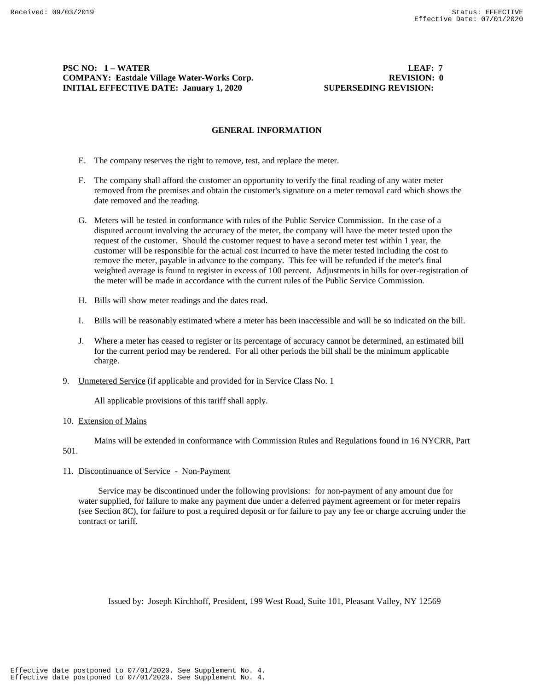# **PSC NO: 1 – WATER LEAF: 7 COMPANY: Eastdale Village Water-Works Corp. REVISION: 0 REVISION: 0 INITIAL EFFECTIVE DATE: January 1, 2020** SUPERSEDING REVISION:

#### **GENERAL INFORMATION**

- E. The company reserves the right to remove, test, and replace the meter.
- F. The company shall afford the customer an opportunity to verify the final reading of any water meter removed from the premises and obtain the customer's signature on a meter removal card which shows the date removed and the reading.
- G. Meters will be tested in conformance with rules of the Public Service Commission. In the case of a disputed account involving the accuracy of the meter, the company will have the meter tested upon the request of the customer. Should the customer request to have a second meter test within 1 year, the customer will be responsible for the actual cost incurred to have the meter tested including the cost to remove the meter, payable in advance to the company. This fee will be refunded if the meter's final weighted average is found to register in excess of 100 percent. Adjustments in bills for over-registration of the meter will be made in accordance with the current rules of the Public Service Commission.
- H. Bills will show meter readings and the dates read.
- I. Bills will be reasonably estimated where a meter has been inaccessible and will be so indicated on the bill.
- J. Where a meter has ceased to register or its percentage of accuracy cannot be determined, an estimated bill for the current period may be rendered. For all other periods the bill shall be the minimum applicable charge.
- 9. Unmetered Service (if applicable and provided for in Service Class No. 1

All applicable provisions of this tariff shall apply.

#### 10. Extension of Mains

Mains will be extended in conformance with Commission Rules and Regulations found in 16 NYCRR, Part 501.

# 11. Discontinuance of Service - Non-Payment

 Service may be discontinued under the following provisions: for non-payment of any amount due for water supplied, for failure to make any payment due under a deferred payment agreement or for meter repairs (see Section 8C), for failure to post a required deposit or for failure to pay any fee or charge accruing under the contract or tariff.

Issued by: Joseph Kirchhoff, President, 199 West Road, Suite 101, Pleasant Valley, NY 12569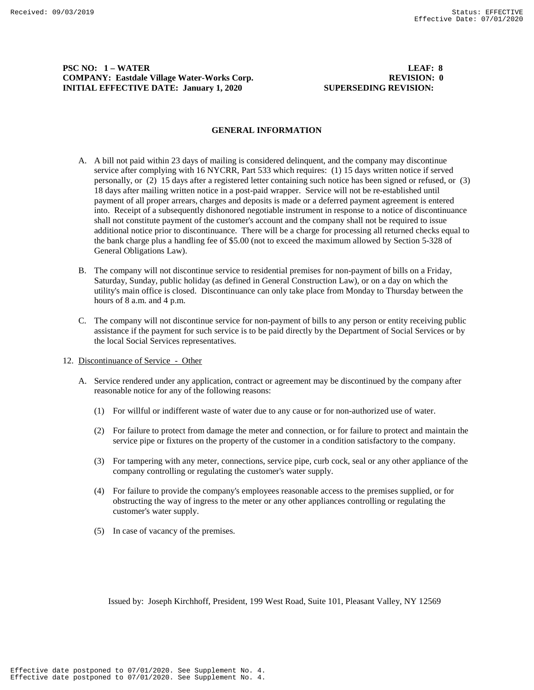# **PSC NO: 1 – WATER LEAF: 8 COMPANY: Eastdale Village Water-Works Corp. REVISION: 0 REVISION: 0 INITIAL EFFECTIVE DATE: January 1, 2020** SUPERSEDING REVISION:

#### **GENERAL INFORMATION**

- A. A bill not paid within 23 days of mailing is considered delinquent, and the company may discontinue service after complying with 16 NYCRR, Part 533 which requires: (1) 15 days written notice if served personally, or (2) 15 days after a registered letter containing such notice has been signed or refused, or (3) 18 days after mailing written notice in a post-paid wrapper. Service will not be re-established until payment of all proper arrears, charges and deposits is made or a deferred payment agreement is entered into. Receipt of a subsequently dishonored negotiable instrument in response to a notice of discontinuance shall not constitute payment of the customer's account and the company shall not be required to issue additional notice prior to discontinuance. There will be a charge for processing all returned checks equal to the bank charge plus a handling fee of \$5.00 (not to exceed the maximum allowed by Section 5-328 of General Obligations Law).
- B. The company will not discontinue service to residential premises for non-payment of bills on a Friday, Saturday, Sunday, public holiday (as defined in General Construction Law), or on a day on which the utility's main office is closed. Discontinuance can only take place from Monday to Thursday between the hours of 8 a.m. and 4 p.m.
- C. The company will not discontinue service for non-payment of bills to any person or entity receiving public assistance if the payment for such service is to be paid directly by the Department of Social Services or by the local Social Services representatives.
- 12. Discontinuance of Service Other
	- A. Service rendered under any application, contract or agreement may be discontinued by the company after reasonable notice for any of the following reasons:
		- (1) For willful or indifferent waste of water due to any cause or for non-authorized use of water.
		- (2) For failure to protect from damage the meter and connection, or for failure to protect and maintain the service pipe or fixtures on the property of the customer in a condition satisfactory to the company.
		- (3) For tampering with any meter, connections, service pipe, curb cock, seal or any other appliance of the company controlling or regulating the customer's water supply.
		- (4) For failure to provide the company's employees reasonable access to the premises supplied, or for obstructing the way of ingress to the meter or any other appliances controlling or regulating the customer's water supply.
		- (5) In case of vacancy of the premises.

Issued by: Joseph Kirchhoff, President, 199 West Road, Suite 101, Pleasant Valley, NY 12569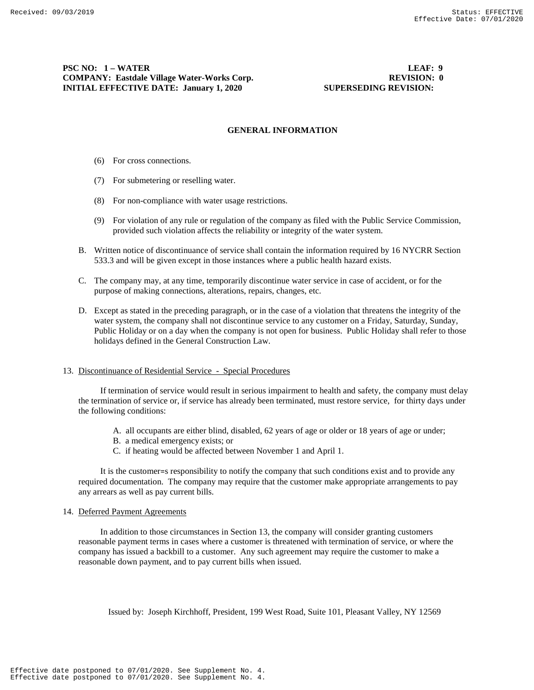# **PSC NO: 1 – WATER LEAF: 9 COMPANY: Eastdale Village Water-Works Corp. REVISION: 0 REVISION: 0 INITIAL EFFECTIVE DATE: January 1, 2020** SUPERSEDING REVISION:

#### **GENERAL INFORMATION**

- (6) For cross connections.
- (7) For submetering or reselling water.
- (8) For non-compliance with water usage restrictions.
- (9) For violation of any rule or regulation of the company as filed with the Public Service Commission, provided such violation affects the reliability or integrity of the water system.
- B. Written notice of discontinuance of service shall contain the information required by 16 NYCRR Section 533.3 and will be given except in those instances where a public health hazard exists.
- C. The company may, at any time, temporarily discontinue water service in case of accident, or for the purpose of making connections, alterations, repairs, changes, etc.
- D. Except as stated in the preceding paragraph, or in the case of a violation that threatens the integrity of the water system, the company shall not discontinue service to any customer on a Friday, Saturday, Sunday, Public Holiday or on a day when the company is not open for business. Public Holiday shall refer to those holidays defined in the General Construction Law.

#### 13. Discontinuance of Residential Service - Special Procedures

 If termination of service would result in serious impairment to health and safety, the company must delay the termination of service or, if service has already been terminated, must restore service, for thirty days under the following conditions:

- A. all occupants are either blind, disabled, 62 years of age or older or 18 years of age or under;
- B. a medical emergency exists; or
- C. if heating would be affected between November 1 and April 1.

 It is the customer=s responsibility to notify the company that such conditions exist and to provide any required documentation. The company may require that the customer make appropriate arrangements to pay any arrears as well as pay current bills.

### 14. Deferred Payment Agreements

 In addition to those circumstances in Section 13, the company will consider granting customers reasonable payment terms in cases where a customer is threatened with termination of service, or where the company has issued a backbill to a customer. Any such agreement may require the customer to make a reasonable down payment, and to pay current bills when issued.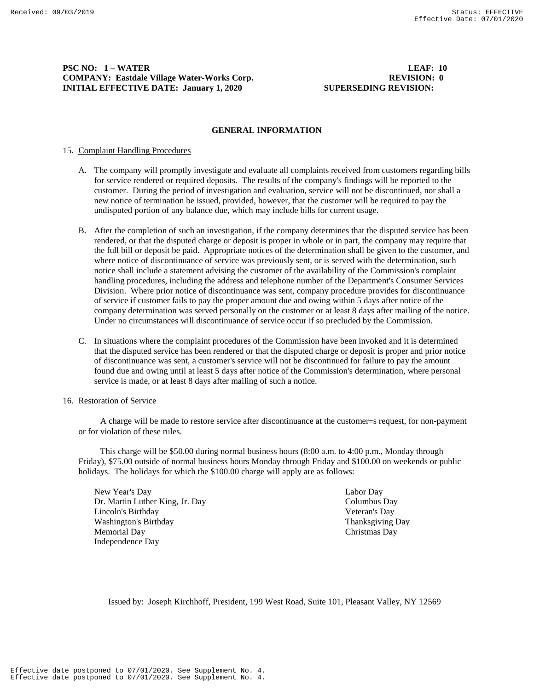# **PSC NO: 1 – WATER LEAF: 10 COMPANY: Eastdale Village Water-Works Corp. REVISION: 0 REVISION: 0 INITIAL EFFECTIVE DATE: January 1, 2020** SUPERSEDING REVISION:

#### **GENERAL INFORMATION**

#### 15. Complaint Handling Procedures

- A. The company will promptly investigate and evaluate all complaints received from customers regarding bills for service rendered or required deposits. The results of the company's findings will be reported to the customer. During the period of investigation and evaluation, service will not be discontinued, nor shall a new notice of termination be issued, provided, however, that the customer will be required to pay the undisputed portion of any balance due, which may include bills for current usage.
- B. After the completion of such an investigation, if the company determines that the disputed service has been rendered, or that the disputed charge or deposit is proper in whole or in part, the company may require that the full bill or deposit be paid. Appropriate notices of the determination shall be given to the customer, and where notice of discontinuance of service was previously sent, or is served with the determination, such notice shall include a statement advising the customer of the availability of the Commission's complaint handling procedures, including the address and telephone number of the Department's Consumer Services Division. Where prior notice of discontinuance was sent, company procedure provides for discontinuance of service if customer fails to pay the proper amount due and owing within 5 days after notice of the company determination was served personally on the customer or at least 8 days after mailing of the notice. Under no circumstances will discontinuance of service occur if so precluded by the Commission.
- C. In situations where the complaint procedures of the Commission have been invoked and it is determined that the disputed service has been rendered or that the disputed charge or deposit is proper and prior notice of discontinuance was sent, a customer's service will not be discontinued for failure to pay the amount found due and owing until at least 5 days after notice of the Commission's determination, where personal service is made, or at least 8 days after mailing of such a notice.

#### 16. Restoration of Service

 A charge will be made to restore service after discontinuance at the customer=s request, for non-payment or for violation of these rules.

 This charge will be \$50.00 during normal business hours (8:00 a.m. to 4:00 p.m., Monday through Friday), \$75.00 outside of normal business hours Monday through Friday and \$100.00 on weekends or public holidays. The holidays for which the \$100.00 charge will apply are as follows:

New Year's Day Labor Day Dr. Martin Luther King, Jr. Day Columbus Day Lincoln's Birthday Veteran's Day Washington's Birthday **Thanksgiving Day** Thanksgiving Day Memorial Day Christmas Day Independence Day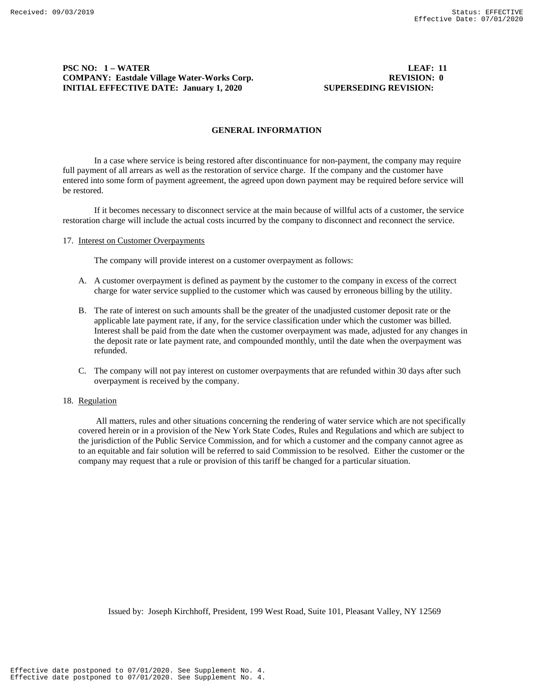# **PSC NO: 1 – WATER LEAF: 11 COMPANY: Eastdale Village Water-Works Corp. REVISION: 0 REVISION: 0 INITIAL EFFECTIVE DATE: January 1, 2020** SUPERSEDING REVISION:

#### **GENERAL INFORMATION**

In a case where service is being restored after discontinuance for non-payment, the company may require full payment of all arrears as well as the restoration of service charge. If the company and the customer have entered into some form of payment agreement, the agreed upon down payment may be required before service will be restored.

If it becomes necessary to disconnect service at the main because of willful acts of a customer, the service restoration charge will include the actual costs incurred by the company to disconnect and reconnect the service.

#### 17. Interest on Customer Overpayments

The company will provide interest on a customer overpayment as follows:

- A. A customer overpayment is defined as payment by the customer to the company in excess of the correct charge for water service supplied to the customer which was caused by erroneous billing by the utility.
- B. The rate of interest on such amounts shall be the greater of the unadjusted customer deposit rate or the applicable late payment rate, if any, for the service classification under which the customer was billed. Interest shall be paid from the date when the customer overpayment was made, adjusted for any changes in the deposit rate or late payment rate, and compounded monthly, until the date when the overpayment was refunded.
- C. The company will not pay interest on customer overpayments that are refunded within 30 days after such overpayment is received by the company.

#### 18. Regulation

 All matters, rules and other situations concerning the rendering of water service which are not specifically covered herein or in a provision of the New York State Codes, Rules and Regulations and which are subject to the jurisdiction of the Public Service Commission, and for which a customer and the company cannot agree as to an equitable and fair solution will be referred to said Commission to be resolved. Either the customer or the company may request that a rule or provision of this tariff be changed for a particular situation.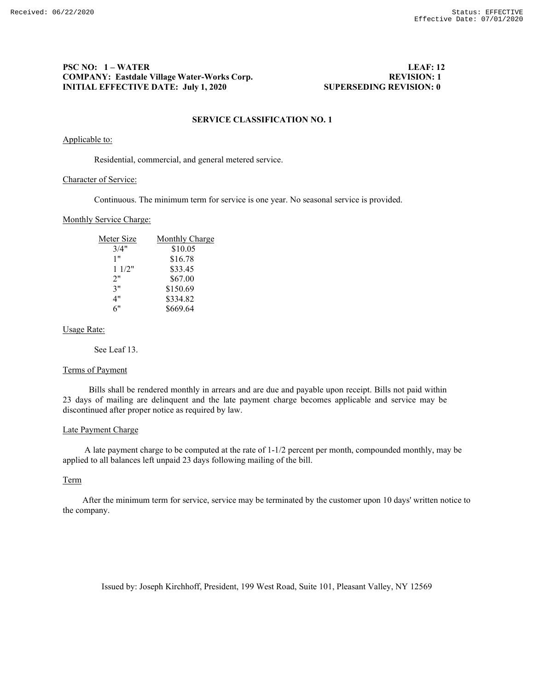# **PSC NO: 1 – WATER LEAF: 12 COMPANY: Eastdale Village Water-Works Corp. INITIAL EFFECTIVE DATE: July 1, 2020 SUPERSEDING REVISION: 0**

# **SERVICE CLASSIFICATION NO. 1**

### Applicable to:

Residential, commercial, and general metered service.

### Character of Service:

Continuous. The minimum term for service is one year. No seasonal service is provided.

### Monthly Service Charge:

| Meter Size | Monthly Charge |
|------------|----------------|
| 3/4"       | \$10.05        |
| 1"         | \$16.78        |
| 11/2"      | \$33.45        |
| 2"         | \$67.00        |
| 3"         | \$150.69       |
| 4"         | \$334.82       |
| 6"         | \$669.64       |

### Usage Rate:

See Leaf 13.

### Terms of Payment

Bills shall be rendered monthly in arrears and are due and payable upon receipt. Bills not paid within 23 days of mailing are delinquent and the late payment charge becomes applicable and service may be discontinued after proper notice as required by law.

#### Late Payment Charge

A late payment charge to be computed at the rate of 1-1/2 percent per month, compounded monthly, may be applied to all balances left unpaid 23 days following mailing of the bill.

# Term

After the minimum term for service, service may be terminated by the customer upon 10 days' written notice to the company.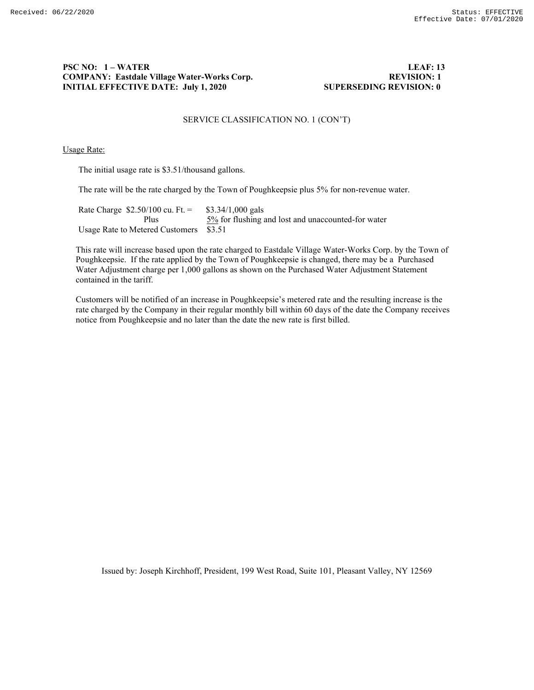# **PSC NO: 1 – WATER LEAF: 13 COMPANY: Eastdale Village Water-Works Corp. INITIAL EFFECTIVE DATE: July 1, 2020 SUPERSEDING REVISION: 0**

# SERVICE CLASSIFICATION NO. 1 (CON'T)

#### Usage Rate:

The initial usage rate is \$3.51/thousand gallons.

The rate will be the rate charged by the Town of Poughkeepsie plus 5% for non-revenue water.

Rate Charge  $$2.50/100$  cu. Ft. =  $$3.34/1,000$  gals<br>Plus  $$5\%$  for flushing a  $5\%$  for flushing and lost and unaccounted-for water Usage Rate to Metered Customers \$3.51

This rate will increase based upon the rate charged to Eastdale Village Water-Works Corp. by the Town of Poughkeepsie. If the rate applied by the Town of Poughkeepsie is changed, there may be a Purchased Water Adjustment charge per 1,000 gallons as shown on the Purchased Water Adjustment Statement contained in the tariff.

Customers will be notified of an increase in Poughkeepsie's metered rate and the resulting increase is the rate charged by the Company in their regular monthly bill within 60 days of the date the Company receives notice from Poughkeepsie and no later than the date the new rate is first billed.